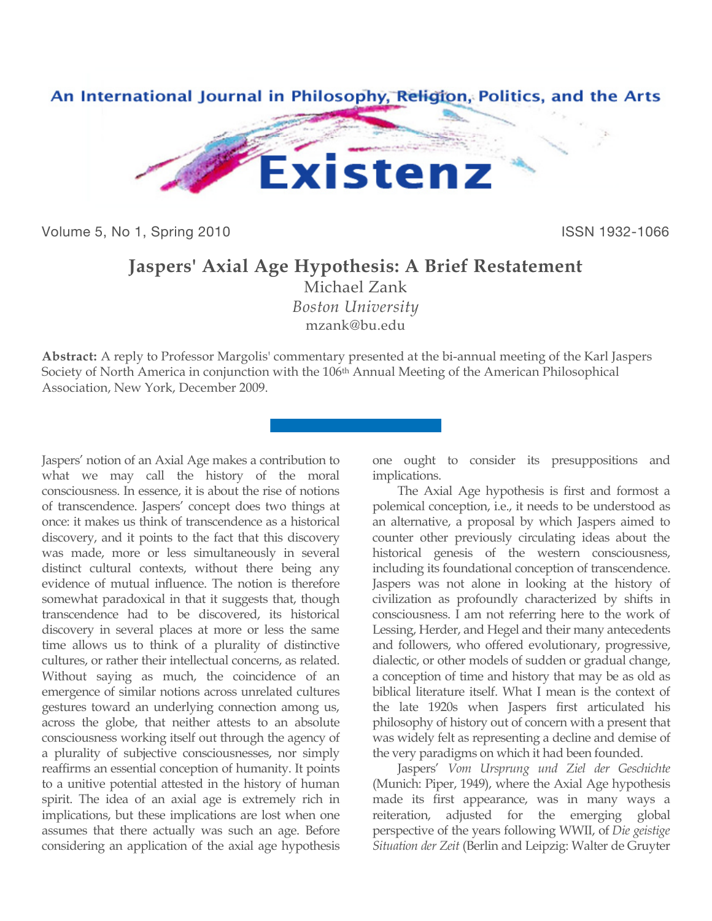

Volume 5, No 1, Spring 2010 **ISSN 1932-1066** 

## **Jaspers' Axial Age Hypothesis: A Brief Restatement**

Michael Zank *Boston University* [mzank@bu.edu](mailto:mzank@bu.edu)

**Abstract:** A reply to Professor Margolis' commentary presented at the bi-annual meeting of the Karl Jaspers Society of North America in conjunction with the 106<sup>th</sup> Annual Meeting of the American Philosophical Association, New York, December 2009.

Jaspers' notion of an Axial Age makes a contribution to what we may call the history of the moral consciousness. In essence, it is about the rise of notions of transcendence. Jaspers' concept does two things at once: it makes us think of transcendence as a historical discovery, and it points to the fact that this discovery was made, more or less simultaneously in several distinct cultural contexts, without there being any evidence of mutual influence. The notion is therefore somewhat paradoxical in that it suggests that, though transcendence had to be discovered, its historical discovery in several places at more or less the same time allows us to think of a plurality of distinctive cultures, or rather their intellectual concerns, as related. Without saying as much, the coincidence of an emergence of similar notions across unrelated cultures gestures toward an underlying connection among us, across the globe, that neither attests to an absolute consciousness working itself out through the agency of a plurality of subjective consciousnesses, nor simply reaffirms an essential conception of humanity. It points to a unitive potential attested in the history of human spirit. The idea of an axial age is extremely rich in implications, but these implications are lost when one assumes that there actually was such an age. Before considering an application of the axial age hypothesis one ought to consider its presuppositions and implications.

The Axial Age hypothesis is first and formost a polemical conception, i.e., it needs to be understood as an alternative, a proposal by which Jaspers aimed to counter other previously circulating ideas about the historical genesis of the western consciousness, including its foundational conception of transcendence. Jaspers was not alone in looking at the history of civilization as profoundly characterized by shifts in consciousness. I am not referring here to the work of Lessing, Herder, and Hegel and their many antecedents and followers, who offered evolutionary, progressive, dialectic, or other models of sudden or gradual change, a conception of time and history that may be as old as biblical literature itself. What I mean is the context of the late 1920s when Jaspers first articulated his philosophy of history out of concern with a present that was widely felt as representing a decline and demise of the very paradigms on which it had been founded.

Jaspers' *Vom Ursprung und Ziel der Geschichte* (Munich: Piper, 1949), where the Axial Age hypothesis made its first appearance, was in many ways a reiteration, adjusted for the emerging global perspective of the years following WWII, of *Die geistige Situation der Zeit* (Berlin and Leipzig: Walter de Gruyter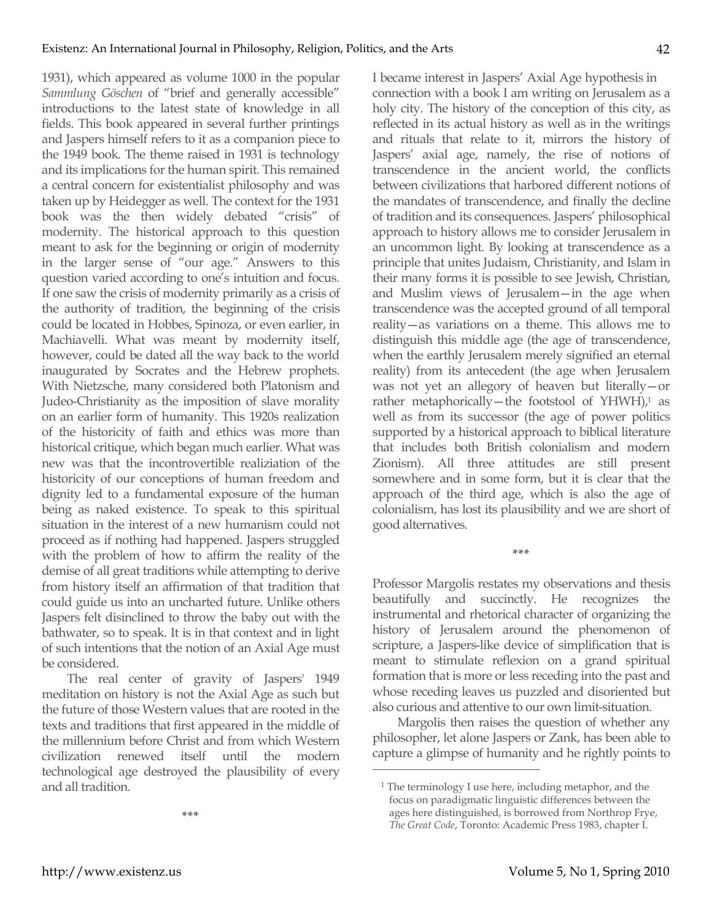1931), which appeared as volume 1000 in the popular *Sammlung Göschen* of "brief and generally accessible" introductions to the latest state of knowledge in all fields. This book appeared in several further printings and Jaspers himself refers to it as a companion piece to the 1949 book*.* The theme raised in 1931 is technology and its implications for the human spirit. This remained a central concern for existentialist philosophy and was taken up by Heidegger as well. The context for the 1931 book was the then widely debated "crisis" of modernity. The historical approach to this question meant to ask for the beginning or origin of modernity in the larger sense of "our age." Answers to this question varied according to one's intuition and focus. If one saw the crisis of modernity primarily as a crisis of the authority of tradition, the beginning of the crisis could be located in Hobbes, Spinoza, or even earlier, in Machiavelli. What was meant by modernity itself, however, could be dated all the way back to the world inaugurated by Socrates and the Hebrew prophets. With Nietzsche, many considered both Platonism and Judeo-Christianity as the imposition of slave morality on an earlier form of humanity. This 1920s realization of the historicity of faith and ethics was more than historical critique, which began much earlier. What was new was that the incontrovertible realiziation of the historicity of our conceptions of human freedom and dignity led to a fundamental exposure of the human being as naked existence. To speak to this spiritual situation in the interest of a new humanism could not proceed as if nothing had happened. Jaspers struggled with the problem of how to affirm the reality of the demise of all great traditions while attempting to derive from history itself an affirmation of that tradition that could guide us into an uncharted future. Unlike others Jaspers felt disinclined to throw the baby out with the bathwater, so to speak. It is in that context and in light of such intentions that the notion of an Axial Age must be considered.

The real center of gravity of Jaspers' 1949 meditation on history is not the Axial Age as such but the future of those Western values that are rooted in the texts and traditions that first appeared in the middle of the millennium before Christ and from which Western civilization renewed itself until the modern technological age destroyed the plausibility of every and all tradition.

I became interest in Jaspers' Axial Age hypothesis in connection with a book I am writing on Jerusalem as a holy city. The history of the conception of this city, as reflected in its actual history as well as in the writings and rituals that relate to it, mirrors the history of Jaspers' axial age, namely, the rise of notions of transcendence in the ancient world, the conflicts between civilizations that harbored different notions of the mandates of transcendence, and finally the decline of tradition and its consequences. Jaspers' philosophical approach to history allows me to consider Jerusalem in an uncommon light. By looking at transcendence as a principle that unites Judaism, Christianity, and Islam in their many forms it is possible to see Jewish, Christian, and Muslim views of Jerusalem—in the age when transcendence was the accepted ground of all temporal reality—as variations on a theme. This allows me to distinguish this middle age (the age of transcendence, when the earthly Jerusalem merely signified an eternal reality) from its antecedent (the age when Jerusalem was not yet an allegory of heaven but literally—or rather metaphorically—the footstool of  $YHWH$ ),<sup>1</sup> as well as from its successor (the age of power politics supported by a historical approach to biblical literature that includes both British colonialism and modern Zionism). All three attitudes are still present somewhere and in some form, but it is clear that the approach of the third age, which is also the age of colonialism, has lost its plausibility and we are short of good alternatives.

**\*\*\***

Professor Margolis restates my observations and thesis beautifully and succinctly. He recognizes the instrumental and rhetorical character of organizing the history of Jerusalem around the phenomenon of scripture, a Jaspers-like device of simplification that is meant to stimulate reflexion on a grand spiritual formation that is more or less receding into the past and whose receding leaves us puzzled and disoriented but also curious and attentive to our own limit-situation.

Margolis then raises the question of whether any philosopher, let alone Jaspers or Zank, has been able to capture a glimpse of humanity and he rightly points to

 $\overline{a}$ 

<sup>&</sup>lt;sup>1</sup> The terminology I use here, including metaphor, and the focus on paradigmatic linguistic differences between the ages here distinguished, is borrowed from Northrop Frye, *The Great Code*, Toronto: Academic Press 1983, chapter I.